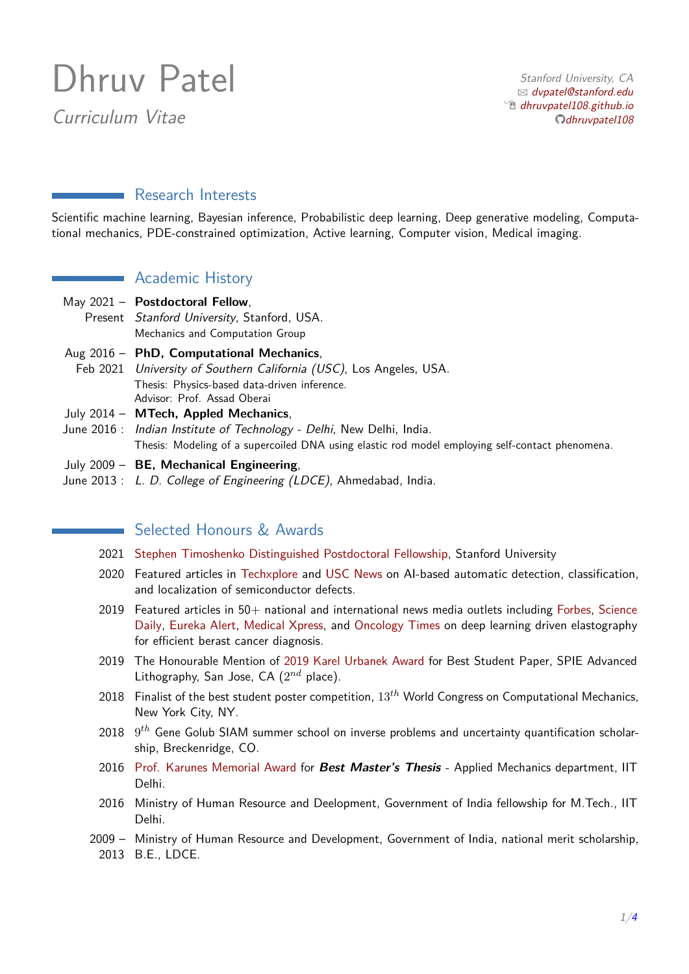# Dhruv Patel

Curriculum Vitae

Stanford University, CA  $\boxtimes$  [dvpatel@stanford.edu](mailto:dvpatel@stanford.edu)  $\hat{p}$  [dhruvpatel108.github.io](http://dhruvpatel108.github.io/) [dhruvpatel108](https://github.com/dhruvpatel108)

# Research Interests

Scientific machine learning, Bayesian inference, Probabilistic deep learning, Deep generative modeling, Computational mechanics, PDE-constrained optimization, Active learning, Computer vision, Medical imaging.

## **Academic History**

- May 2021 **Postdoctoral Fellow**, Present Stanford University, Stanford, USA. Mechanics and Computation Group
- Aug 2016 **PhD, Computational Mechanics**, Feb 2021 University of Southern California (USC), Los Angeles, USA. Thesis: Physics-based data-driven inference. Advisor: Prof. Assad Oberai
- July 2014 **MTech, Appled Mechanics**,
- June 2016 : Indian Institute of Technology Delhi, New Delhi, India. Thesis: Modeling of a supercoiled DNA using elastic rod model employing self-contact phenomena.
- July 2009 **BE, Mechanical Engineering**,
- June 2013 : L. D. College of Engineering (LDCE), Ahmedabad, India.

# Selected Honours & Awards

- 2021 [Stephen Timoshenko Distinguished Postdoctoral Fellowship,](https://mechanics.stanford.edu/hiring) Stanford University
- 2020 Featured articles in [Techxplore](https://techxplore.com/news/2020-06-semiconductor-defects.html) and [USC News](https://viterbischool.usc.edu/news/2020/06/catching-defects-before-they-multiply/) on AI-based automatic detection, classification, and localization of semiconductor defects.
- 2019 Featured articles in 50+ national and international news media outlets including [Forbes,](https://www.forbes.com/sites/cognitiveworld/2019/10/17/recent-research-utilizing-ai-for-early-detection-of-breast-cancer-has-doctors-rethinking-the-human-role-in-diagnosis/?sh=55e072544dcd) [Science](https://www.sciencedaily.com/releases/2019/07/190712151928.htm) [Daily,](https://www.sciencedaily.com/releases/2019/07/190712151928.htm) [Eureka Alert,](https://www.eurekalert.org/pub_releases/2019-07/uosc-rs071219.php) [Medical Xpress,](https://medicalxpress.com/news/2019-07-ai-quickly-accurately-breast-cancer.html) and [Oncology Times](https://journals.lww.com/oncology-times/blog/onlinefirst/pages/post.aspx?PostID=1985) on deep learning driven elastography for efficient berast cancer diagnosis.
- 2019 The Honourable Mention of [2019 Karel Urbanek Award](https://dhruvpatel108.github.io/spie_award.jpg) for Best Student Paper, SPIE Advanced Lithography, San Jose, CA (2 *nd* place).
- 2018 Finalist of the best student poster competition, 13*th* World Congress on Computational Mechanics, New York City, NY.
- 2018 9 *th* Gene Golub SIAM summer school on inverse problems and uncertainty quantification scholarship, Breckenridge, CO.
- 2016 [Prof. Karunes Memorial Award](https://dhruvpatel108.github.io/karunes_memorial_award.JPG) for **Best Master's Thesis** Applied Mechanics department, IIT Delhi.
- 2016 Ministry of Human Resource and Deelopment, Government of India fellowship for M.Tech., IIT Delhi.
- 2009 Ministry of Human Resource and Development, Government of India, national merit scholarship, 2013 B.E., LDCE.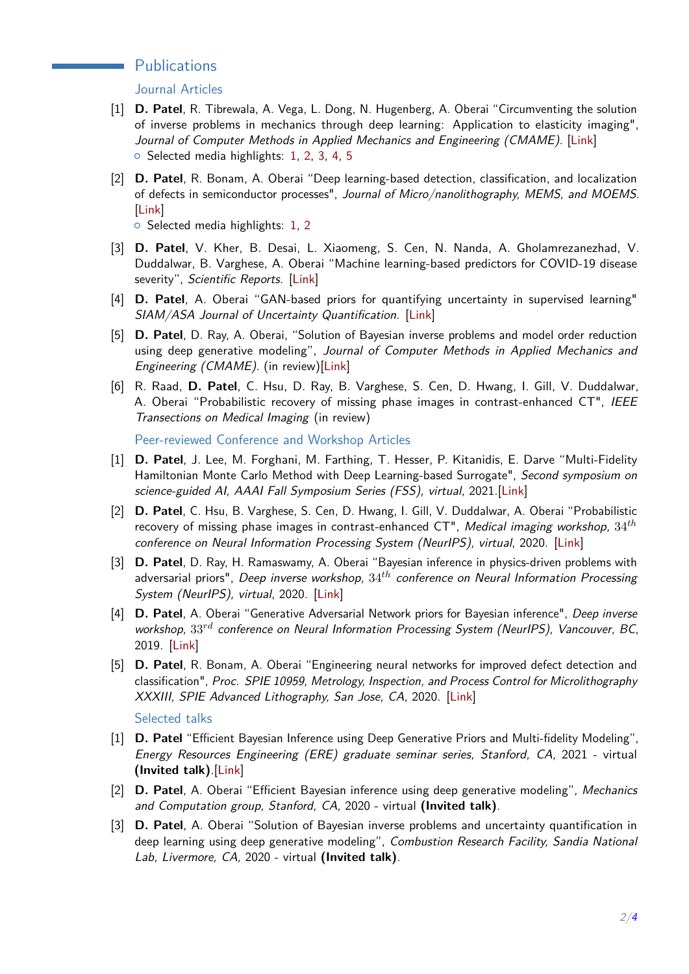#### **Publications**

Journal Articles

- [1] **D. Patel**, R. Tibrewala, A. Vega, L. Dong, N. Hugenberg, A. Oberai "Circumventing the solution of inverse problems in mechanics through deep learning: Application to elasticity imaging", Journal of Computer Methods in Applied Mechanics and Engineering (CMAME). [\[Link\]](https://www.sciencedirect.com/science/article/pii/S0045782519302579)  $\circ$  Selected media highlights: [1,](https://www.sciencedaily.com/releases/2019/07/190712151928.htm) [2,](https://www.forbes.com/sites/cognitiveworld/2019/10/17/recent-research-utilizing-ai-for-early-detection-of-breast-cancer-has-doctors-rethinking-the-human-role-in-diagnosis/?sh=55e072544dcd) [3,](https://www.medicalnewstoday.com/articles/325750##1) [4,](https://www.eurekalert.org/pub_releases/2019-07/uosc-rs071219.php) [5](https://news.usc.edu/158958/cancer-diagnosis-algorithm-early-detection/)
- [2] **D. Patel**, R. Bonam, A. Oberai "Deep learning-based detection, classification, and localization of defects in semiconductor processes", Journal of Micro/nanolithography, MEMS, and MOEMS. [\[Link\]](https://www.spiedigitallibrary.org/journals/Journal-of-MicroNanolithography-MEMS-and-MOEMS/volume-19/issue-2/024801/Deep-learning-based-detection-classification-and-localization-of-defects-in/10.1117/1.JMM.19.2.024801.short?SSO=1)

 $\circ$  Selected media highlights: [1,](https://techxplore.com/news/2020-06-semiconductor-defects.html) [2](https://viterbischool.usc.edu/news/2020/06/catching-defects-before-they-multiply/)

- [3] **D. Patel**, V. Kher, B. Desai, L. Xiaomeng, S. Cen, N. Nanda, A. Gholamrezanezhad, V. Duddalwar, B. Varghese, A. Oberai "Machine learning-based predictors for COVID-19 disease severity", Scientific Reports. [\[Link\]](https://www.nature.com/articles/s41598-021-83967-7)
- [4] **D. Patel**, A. Oberai "GAN-based priors for quantifying uncertainty in supervised learning" SIAM/ASA Journal of Uncertainty Quantification. [\[Link\]](https://epubs.siam.org/doi/pdf/10.1137/20M1354210)
- [5] **D. Patel**, D. Ray, A. Oberai, "Solution of Bayesian inverse problems and model order reduction using deep generative modeling", Journal of Computer Methods in Applied Mechanics and Engineering (CMAME). (in review)[\[Link\]](https://arxiv.org/abs/2107.02926)
- [6] R. Raad, **D. Patel**, C. Hsu, D. Ray, B. Varghese, S. Cen, D. Hwang, I. Gill, V. Duddalwar, A. Oberai "Probabilistic recovery of missing phase images in contrast-enhanced CT", IEEE Transections on Medical Imaging (in review)

Peer-reviewed Conference and Workshop Articles

- [1] **D. Patel**, J. Lee, M. Forghani, M. Farthing, T. Hesser, P. Kitanidis, E. Darve "Multi-Fidelity Hamiltonian Monte Carlo Method with Deep Learning-based Surrogate", Second symposium on science-guided AI, AAAI Fall Symposium Series (FSS), virtual, 2021.[\[Link\]](https://drive.google.com/file/d/1_Tzc8X9HgMiviMeOAarunBz6yT6vRyjY/view)
- [2] **D. Patel**, C. Hsu, B. Varghese, S. Cen, D. Hwang, I. Gill, V. Duddalwar, A. Oberai "Probabilistic recovery of missing phase images in contrast-enhanced CT", Medical imaging workshop, 34*th* conference on Neural Information Processing System (NeurIPS), virtual, 2020. [\[Link\]](https://dhruvpatel108.github.io/publication/neurips20-medical_imaging/neurips20-medical_imaging.pdf)
- [3] **D. Patel**, D. Ray, H. Ramaswamy, A. Oberai "Bayesian inference in physics-driven problems with adversarial priors", Deep inverse workshop, 34*th* conference on Neural Information Processing System (NeurIPS), virtual, 2020. [\[Link\]](https://openreview.net/pdf?id=P-0ae-EbP8)
- [4] **D. Patel**, A. Oberai "Generative Adversarial Network priors for Bayesian inference", Deep inverse workshop, 33*rd* conference on Neural Information Processing System (NeurIPS), Vancouver, BC, 2019. [\[Link\]](https://openreview.net/pdf?id=HJlL2Q2qLS)
- [5] **D. Patel**, R. Bonam, A. Oberai "Engineering neural networks for improved defect detection and classification", Proc. SPIE 10959, Metrology, Inspection, and Process Control for Microlithography XXXIII, SPIE Advanced Lithography, San Jose, CA, 2020. [\[Link\]](https://www.spiedigitallibrary.org/conference-proceedings-of-spie/10959/1095910/Engineering-neural-networks-for-improved-defect-detection-and-classification/10.1117/12.2515065.short?SSO=1)

Selected talks

- [1] **D. Patel** "Efficient Bayesian Inference using Deep Generative Priors and Multi-fidelity Modeling", Energy Resources Engineering (ERE) graduate seminar series, Stanford, CA, 2021 - virtual **(Invited talk)**.[\[Link\]](https://earth.stanford.edu/events/ere-seminar-dhruv-patel-stanford-efficient-bayesian-inference-using-deep-generative-priors##gs.d3mgq4)
- [2] **D. Patel**, A. Oberai "Efficient Bayesian inference using deep generative modeling", Mechanics and Computation group, Stanford, CA, 2020 - virtual **(Invited talk)**.
- [3] **D. Patel**, A. Oberai "Solution of Bayesian inverse problems and uncertainty quantification in deep learning using deep generative modeling", Combustion Research Facility, Sandia National Lab, Livermore, CA, 2020 - virtual **(Invited talk)**.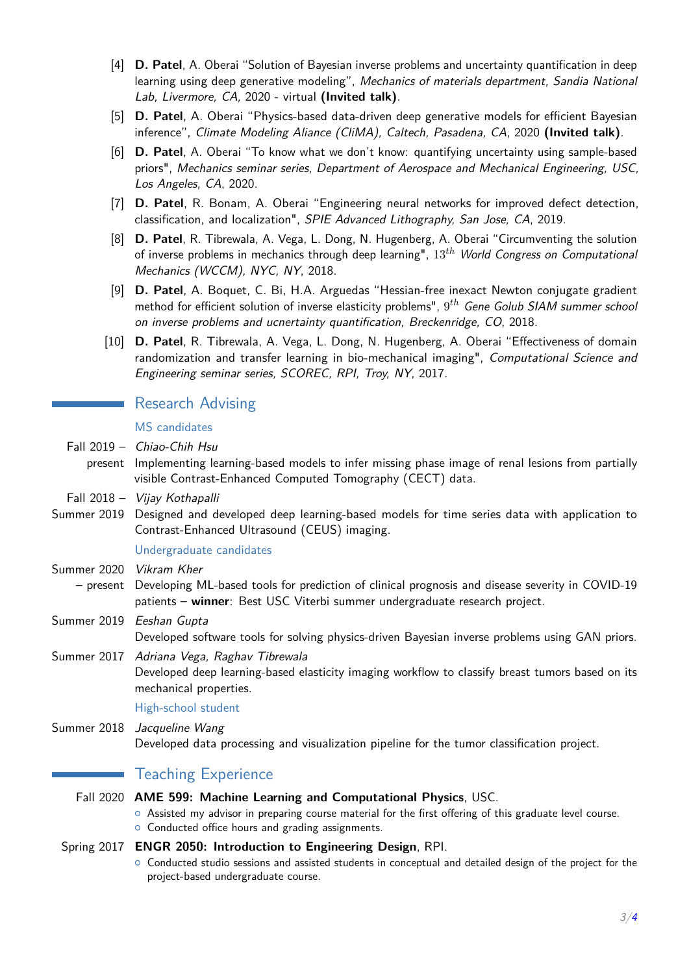- [4] **D. Patel**, A. Oberai "Solution of Bayesian inverse problems and uncertainty quantification in deep learning using deep generative modeling", Mechanics of materials department, Sandia National Lab, Livermore, CA, 2020 - virtual **(Invited talk)**.
- [5] **D. Patel**, A. Oberai "Physics-based data-driven deep generative models for efficient Bayesian inference", Climate Modeling Aliance (CliMA), Caltech, Pasadena, CA, 2020 **(Invited talk)**.
- [6] **D. Patel**, A. Oberai "To know what we don't know: quantifying uncertainty using sample-based priors", Mechanics seminar series, Department of Aerospace and Mechanical Engineering, USC, Los Angeles, CA, 2020.
- [7] **D. Patel**, R. Bonam, A. Oberai "Engineering neural networks for improved defect detection, classification, and localization", SPIE Advanced Lithography, San Jose, CA, 2019.
- [8] **D. Patel**, R. Tibrewala, A. Vega, L. Dong, N. Hugenberg, A. Oberai "Circumventing the solution of inverse problems in mechanics through deep learning", 13*th* World Congress on Computational Mechanics (WCCM), NYC, NY, 2018.
- [9] **D. Patel**, A. Boquet, C. Bi, H.A. Arguedas "Hessian-free inexact Newton conjugate gradient method for efficient solution of inverse elasticity problems", 9 *th* Gene Golub SIAM summer school on inverse problems and ucnertainty quantification, Breckenridge, CO, 2018.
- [10] **D. Patel**, R. Tibrewala, A. Vega, L. Dong, N. Hugenberg, A. Oberai "Effectiveness of domain randomization and transfer learning in bio-mechanical imaging", Computational Science and Engineering seminar series, SCOREC, RPI, Troy, NY, 2017.

## Research Advising

MS candidates

- Fall 2019 Chiao-Chih Hsu
	- present Implementing learning-based models to infer missing phase image of renal lesions from partially visible Contrast-Enhanced Computed Tomography (CECT) data.
- Fall 2018 Vijay Kothapalli
- Summer 2019 Designed and developed deep learning-based models for time series data with application to Contrast-Enhanced Ultrasound (CEUS) imaging.

#### Undergraduate candidates

- Summer 2020 Vikram Kher
- present Developing ML-based tools for prediction of clinical prognosis and disease severity in COVID-19 patients – **winner**: Best USC Viterbi summer undergraduate research project.
- Summer 2019 Eeshan Gupta Developed software tools for solving physics-driven Bayesian inverse problems using GAN priors.
- Summer 2017 Adriana Vega, Raghav Tibrewala

Developed deep learning-based elasticity imaging workflow to classify breast tumors based on its mechanical properties.

High-school student

Summer 2018 Jacqueline Wang

Developed data processing and visualization pipeline for the tumor classification project.

## Teaching Experience

- Fall 2020 **AME 599: Machine Learning and Computational Physics**, USC.
	- $\circ$  Assisted my advisor in preparing course material for the first offering of this graduate level course.

• Conducted office hours and grading assignments.

#### Spring 2017 **ENGR 2050: Introduction to Engineering Design**, RPI.

 $\circ$  Conducted studio sessions and assisted students in conceptual and detailed design of the project for the project-based undergraduate course.